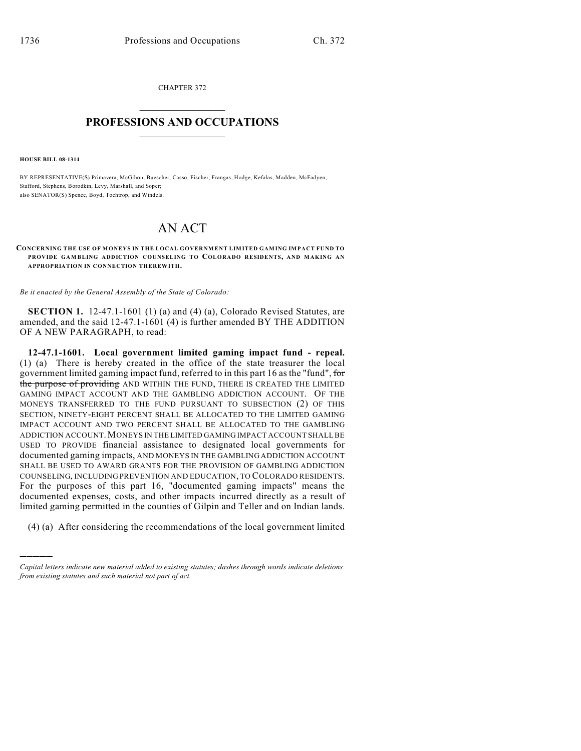CHAPTER 372  $\overline{\phantom{a}}$  . The set of the set of the set of the set of the set of the set of the set of the set of the set of the set of the set of the set of the set of the set of the set of the set of the set of the set of the set o

## **PROFESSIONS AND OCCUPATIONS**  $\frac{1}{2}$  ,  $\frac{1}{2}$  ,  $\frac{1}{2}$  ,  $\frac{1}{2}$  ,  $\frac{1}{2}$  ,  $\frac{1}{2}$

**HOUSE BILL 08-1314**

)))))

BY REPRESENTATIVE(S) Primavera, McGihon, Buescher, Casso, Fischer, Frangas, Hodge, Kefalas, Madden, McFadyen, Stafford, Stephens, Borodkin, Levy, Marshall, and Soper; also SENATOR(S) Spence, Boyd, Tochtrop, and Windels.

## AN ACT

CONCERNING THE USE OF MONEYS IN THE LOCAL GOVERNMENT LIMITED GAMING IMPACT FUND TO **PROVIDE GAM BLING ADDICTION COUNSELING TO COLORADO RESIDENTS, AND MAKING AN APPROPRIATION IN CONNECTION THEREWITH.**

*Be it enacted by the General Assembly of the State of Colorado:*

**SECTION 1.** 12-47.1-1601 (1) (a) and (4) (a), Colorado Revised Statutes, are amended, and the said 12-47.1-1601 (4) is further amended BY THE ADDITION OF A NEW PARAGRAPH, to read:

**12-47.1-1601. Local government limited gaming impact fund - repeal.** (1) (a) There is hereby created in the office of the state treasurer the local government limited gaming impact fund, referred to in this part 16 as the "fund", for the purpose of providing AND WITHIN THE FUND, THERE IS CREATED THE LIMITED GAMING IMPACT ACCOUNT AND THE GAMBLING ADDICTION ACCOUNT. OF THE MONEYS TRANSFERRED TO THE FUND PURSUANT TO SUBSECTION (2) OF THIS SECTION, NINETY-EIGHT PERCENT SHALL BE ALLOCATED TO THE LIMITED GAMING IMPACT ACCOUNT AND TWO PERCENT SHALL BE ALLOCATED TO THE GAMBLING ADDICTION ACCOUNT.MONEYS IN THE LIMITED GAMING IMPACT ACCOUNT SHALL BE USED TO PROVIDE financial assistance to designated local governments for documented gaming impacts, AND MONEYS IN THE GAMBLING ADDICTION ACCOUNT SHALL BE USED TO AWARD GRANTS FOR THE PROVISION OF GAMBLING ADDICTION COUNSELING, INCLUDING PREVENTION AND EDUCATION, TO COLORADO RESIDENTS. For the purposes of this part 16, "documented gaming impacts" means the documented expenses, costs, and other impacts incurred directly as a result of limited gaming permitted in the counties of Gilpin and Teller and on Indian lands.

(4) (a) After considering the recommendations of the local government limited

*Capital letters indicate new material added to existing statutes; dashes through words indicate deletions from existing statutes and such material not part of act.*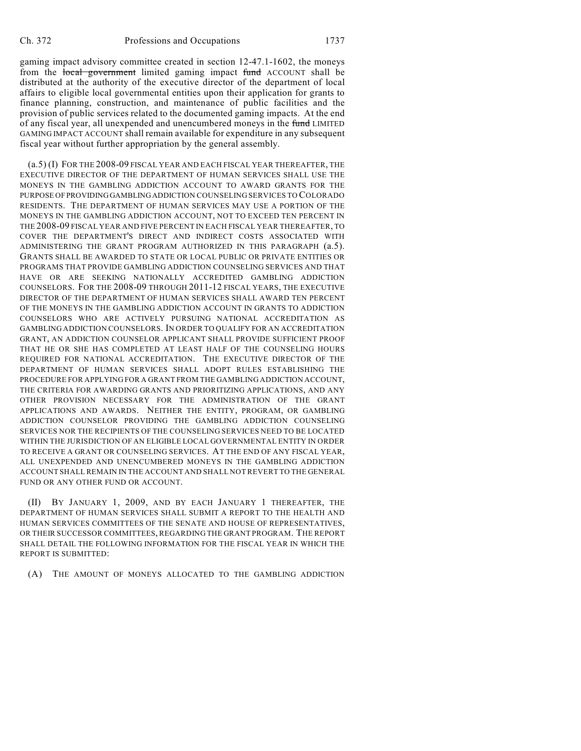gaming impact advisory committee created in section 12-47.1-1602, the moneys from the local government limited gaming impact fund ACCOUNT shall be distributed at the authority of the executive director of the department of local affairs to eligible local governmental entities upon their application for grants to finance planning, construction, and maintenance of public facilities and the provision of public services related to the documented gaming impacts. At the end of any fiscal year, all unexpended and unencumbered moneys in the fund LIMITED GAMING IMPACT ACCOUNT shall remain available for expenditure in any subsequent fiscal year without further appropriation by the general assembly.

(a.5) (I) FOR THE 2008-09 FISCAL YEAR AND EACH FISCAL YEAR THEREAFTER, THE EXECUTIVE DIRECTOR OF THE DEPARTMENT OF HUMAN SERVICES SHALL USE THE MONEYS IN THE GAMBLING ADDICTION ACCOUNT TO AWARD GRANTS FOR THE PURPOSE OF PROVIDING GAMBLING ADDICTION COUNSELING SERVICES TO COLORADO RESIDENTS. THE DEPARTMENT OF HUMAN SERVICES MAY USE A PORTION OF THE MONEYS IN THE GAMBLING ADDICTION ACCOUNT, NOT TO EXCEED TEN PERCENT IN THE 2008-09 FISCAL YEAR AND FIVE PERCENT IN EACH FISCAL YEAR THEREAFTER, TO COVER THE DEPARTMENT'S DIRECT AND INDIRECT COSTS ASSOCIATED WITH ADMINISTERING THE GRANT PROGRAM AUTHORIZED IN THIS PARAGRAPH (a.5). GRANTS SHALL BE AWARDED TO STATE OR LOCAL PUBLIC OR PRIVATE ENTITIES OR PROGRAMS THAT PROVIDE GAMBLING ADDICTION COUNSELING SERVICES AND THAT HAVE OR ARE SEEKING NATIONALLY ACCREDITED GAMBLING ADDICTION COUNSELORS. FOR THE 2008-09 THROUGH 2011-12 FISCAL YEARS, THE EXECUTIVE DIRECTOR OF THE DEPARTMENT OF HUMAN SERVICES SHALL AWARD TEN PERCENT OF THE MONEYS IN THE GAMBLING ADDICTION ACCOUNT IN GRANTS TO ADDICTION COUNSELORS WHO ARE ACTIVELY PURSUING NATIONAL ACCREDITATION AS GAMBLING ADDICTION COUNSELORS. IN ORDER TO QUALIFY FOR AN ACCREDITATION GRANT, AN ADDICTION COUNSELOR APPLICANT SHALL PROVIDE SUFFICIENT PROOF THAT HE OR SHE HAS COMPLETED AT LEAST HALF OF THE COUNSELING HOURS REQUIRED FOR NATIONAL ACCREDITATION. THE EXECUTIVE DIRECTOR OF THE DEPARTMENT OF HUMAN SERVICES SHALL ADOPT RULES ESTABLISHING THE PROCEDURE FOR APPLYING FOR A GRANT FROM THE GAMBLING ADDICTION ACCOUNT, THE CRITERIA FOR AWARDING GRANTS AND PRIORITIZING APPLICATIONS, AND ANY OTHER PROVISION NECESSARY FOR THE ADMINISTRATION OF THE GRANT APPLICATIONS AND AWARDS. NEITHER THE ENTITY, PROGRAM, OR GAMBLING ADDICTION COUNSELOR PROVIDING THE GAMBLING ADDICTION COUNSELING SERVICES NOR THE RECIPIENTS OF THE COUNSELING SERVICES NEED TO BE LOCATED WITHIN THE JURISDICTION OF AN ELIGIBLE LOCAL GOVERNMENTAL ENTITY IN ORDER TO RECEIVE A GRANT OR COUNSELING SERVICES. AT THE END OF ANY FISCAL YEAR, ALL UNEXPENDED AND UNENCUMBERED MONEYS IN THE GAMBLING ADDICTION ACCOUNT SHALL REMAIN IN THE ACCOUNT AND SHALL NOT REVERT TO THE GENERAL FUND OR ANY OTHER FUND OR ACCOUNT.

(II) BY JANUARY 1, 2009, AND BY EACH JANUARY 1 THEREAFTER, THE DEPARTMENT OF HUMAN SERVICES SHALL SUBMIT A REPORT TO THE HEALTH AND HUMAN SERVICES COMMITTEES OF THE SENATE AND HOUSE OF REPRESENTATIVES, OR THEIR SUCCESSOR COMMITTEES, REGARDING THE GRANT PROGRAM. THE REPORT SHALL DETAIL THE FOLLOWING INFORMATION FOR THE FISCAL YEAR IN WHICH THE REPORT IS SUBMITTED:

(A) THE AMOUNT OF MONEYS ALLOCATED TO THE GAMBLING ADDICTION